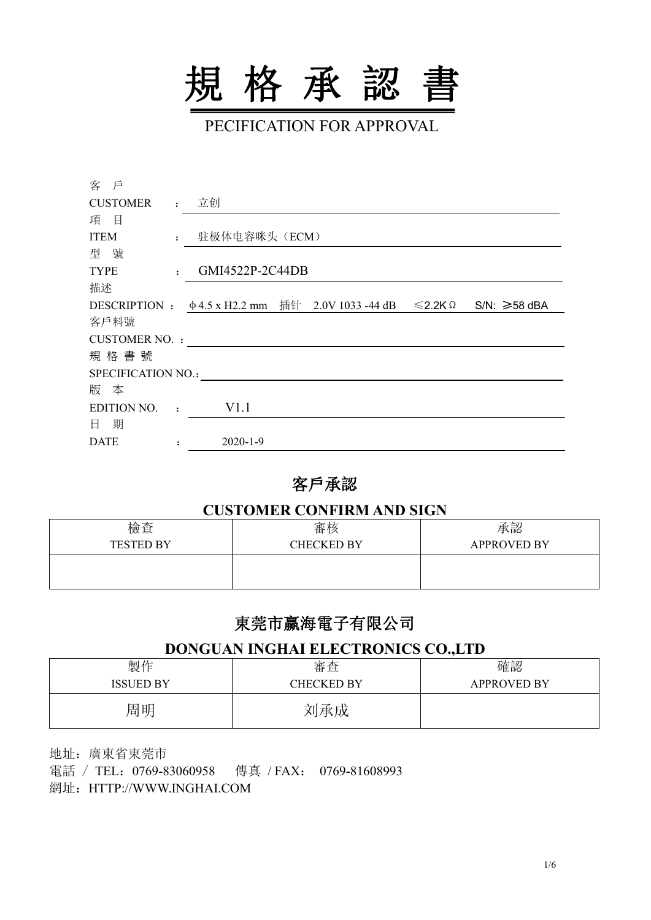

PECIFICATION FOR APPROVAL

| 客 戶                |                      |                 |                                                                |                   |
|--------------------|----------------------|-----------------|----------------------------------------------------------------|-------------------|
| <b>CUSTOMER</b>    |                      | : 立创            |                                                                |                   |
| 目<br>項             |                      |                 |                                                                |                   |
| <b>ITEM</b>        | $\mathbf{r}$         | 驻极体电容咪头(ECM)    |                                                                |                   |
| 型號                 |                      |                 |                                                                |                   |
| <b>TYPE</b>        | $\cdot$              | GMI4522P-2C44DB |                                                                |                   |
| 描述                 |                      |                 |                                                                |                   |
|                    |                      |                 | DESCRIPTION : $\phi$ 4.5 x H2.2 mm 插针 2.0V 1033 -44 dB ≤2.2K Ω | $SN: \geq 58$ dBA |
| 客戶料號               |                      |                 |                                                                |                   |
| CUSTOMER NO. :     |                      |                 |                                                                |                   |
| 規格書號               |                      |                 |                                                                |                   |
| SPECIFICATION NO.: |                      |                 |                                                                |                   |
| 版 本                |                      |                 |                                                                |                   |
| <b>EDITION NO.</b> | $\cdot$              | V1.1            |                                                                |                   |
| 日 期                |                      |                 |                                                                |                   |
| <b>DATE</b>        | $\ddot{\phantom{a}}$ | $2020 - 1 - 9$  |                                                                |                   |

#### 客戶承認

#### **CUSTOMER CONFIRM AND SIGN**

| 檢查               | 審核                | 承認                 |
|------------------|-------------------|--------------------|
| <b>TESTED BY</b> | <b>CHECKED BY</b> | <b>APPROVED BY</b> |
|                  |                   |                    |
|                  |                   |                    |

# 東莞市赢海電子有限公司

#### **DONGUAN INGHAI ELECTRONICS CO.,LTD**

| 製作               | 審査                | 確認                 |
|------------------|-------------------|--------------------|
| <b>ISSUED BY</b> | <b>CHECKED BY</b> | <b>APPROVED BY</b> |
| 周明               | 刘承成               |                    |

地址:廣東省東莞市 電話 / TEL:0769-83060958 傳真 /FAX: 0769-81608993 網址:HTTP://WWW.INGHAI.COM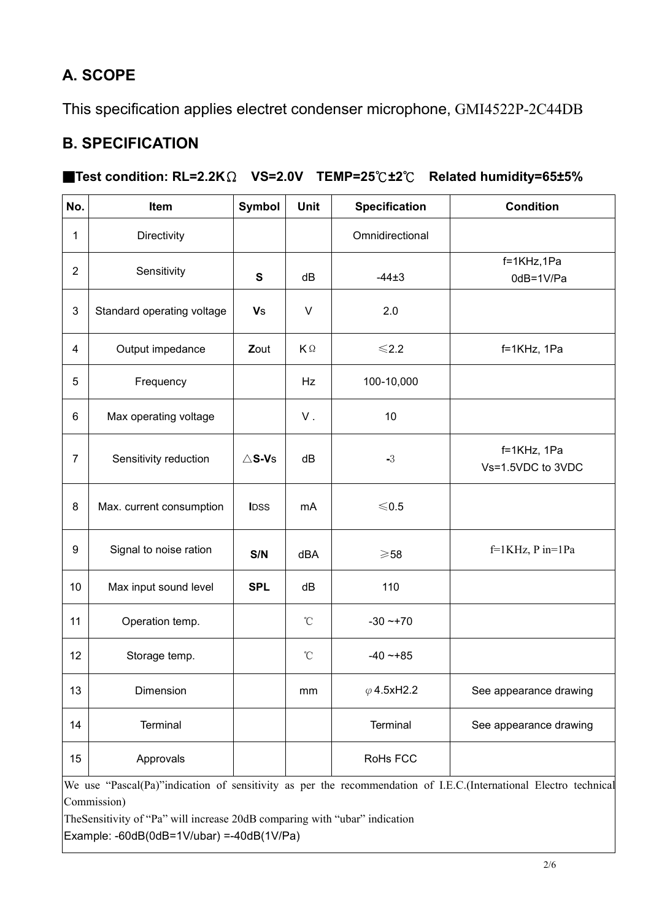# **A. SCOPE**

This specification applies electret condenser microphone, GMI4522P-2C44DB

#### **B. SPECIFICATION**

#### ■**Test condition: RL=2.2K**Ω **VS=2.0V TEMP=25**℃**±2**℃ **Related humidity=65±5%**

| No.              | Item                       | <b>Symbol</b>       | <b>Unit</b>       | <b>Specification</b> | <b>Condition</b>                 |  |
|------------------|----------------------------|---------------------|-------------------|----------------------|----------------------------------|--|
| $\mathbf{1}$     | Directivity                |                     |                   | Omnidirectional      |                                  |  |
| 2                | Sensitivity                | $\mathbf{s}$        | dB                | $-44\pm3$            | f=1KHz,1Pa<br>0dB=1V/Pa          |  |
| $\mathbf{3}$     | Standard operating voltage | <b>V</b> s          | $\sf V$           | 2.0                  |                                  |  |
| $\overline{4}$   | Output impedance           | Zout                | KΩ                | $<$ 2.2              | f=1KHz, 1Pa                      |  |
| $\sqrt{5}$       | Frequency                  |                     | Hz                | 100-10,000           |                                  |  |
| 6                | Max operating voltage      |                     | V.                | 10                   |                                  |  |
| $\overline{7}$   | Sensitivity reduction      | $\triangle$ S-V $s$ | dB                | $-3$                 | f=1KHz, 1Pa<br>Vs=1.5VDC to 3VDC |  |
| 8                | Max. current consumption   | <b>IDSS</b>         | mA                | $\leqslant$ 0.5      |                                  |  |
| $\boldsymbol{9}$ | Signal to noise ration     | S/N                 | dBA               | $\geqslant$ 58       | $f=1KHz$ , P in=1Pa              |  |
| 10               | Max input sound level      | <b>SPL</b>          | dB                | 110                  |                                  |  |
| 11               | Operation temp.            |                     | $^\circ\!{\rm C}$ | $-30 - +70$          |                                  |  |
| 12               | Storage temp.              |                     | $^\circ\!{\rm C}$ | $-40 - +85$          |                                  |  |
| 13               | Dimension                  |                     | mm                | $\varphi$ 4.5xH2.2   | See appearance drawing           |  |
| 14               | Terminal                   |                     |                   | Terminal             | See appearance drawing           |  |
| 15               | Approvals                  |                     |                   | RoHs FCC             |                                  |  |

We use "Pascal(Pa)"indication of sensitivity as perthe recommendation of I.E.C.(International Electro technical Commission)

TheSensitivity of "Pa" will increase 20dB comparing with "ubar" indication

 $\text{Example: -60dB}(0dB=1V/ubar) = -40dB(1V/Pa)$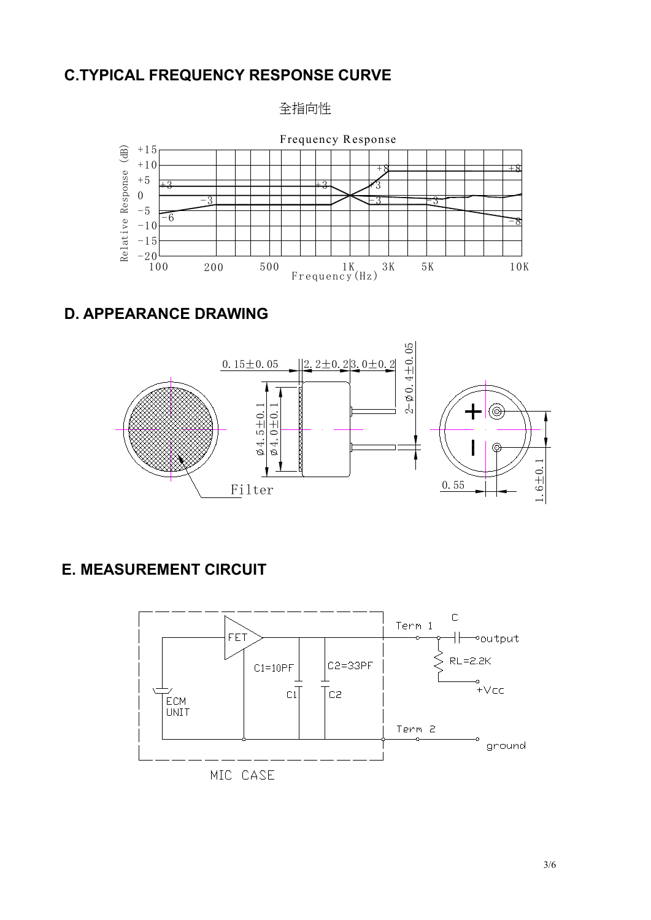#### **C.TYPICAL FREQUENCY RESPONSE CURVE**





## **D. APPEARANCE DRAWING**



## **E. MEASUREMENT CIRCUIT**

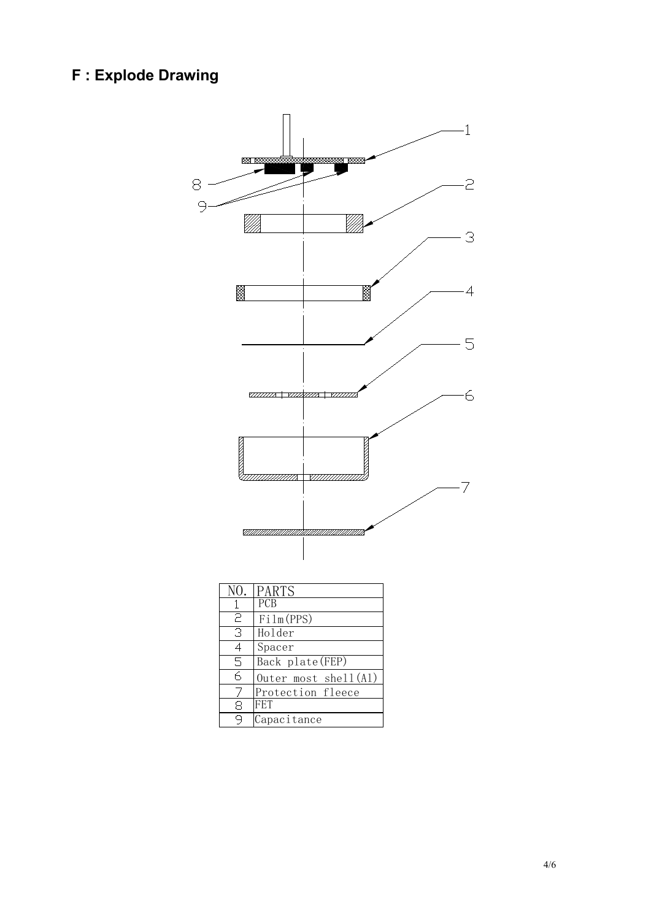## **F : Explode Drawing**



4/6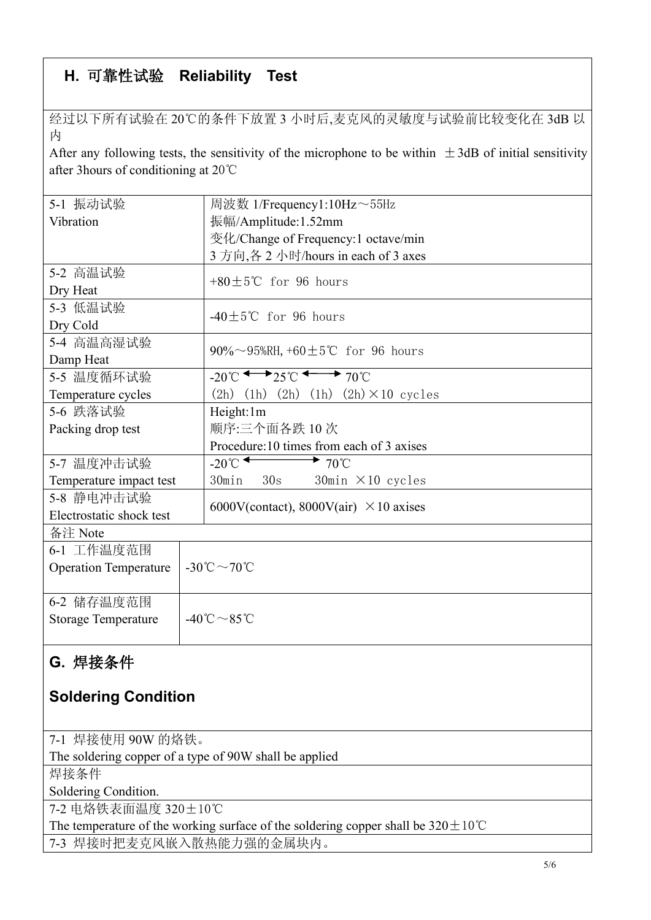# **H.** 可靠性试验 **Reliability Test**

经过以下所有试验在 20℃的条件下放置 3 小时后,麦克风的灵敏度与试验前比较变化在 3dB 以 カイスト しゅうしょう しんしゅう しんしゅう しんしゅう しんしゅう しんしゅう

After any following tests, the sensitivity of the microphone to be within  $\pm$ 3dB of initial sensitivity after 3hours of conditioning at 20℃

| 5-1 振动试验                     | 周波数 1/Frequency1:10Hz~55Hz                                                        |  |  |  |  |
|------------------------------|-----------------------------------------------------------------------------------|--|--|--|--|
| Vibration                    | 振幅/Amplitude:1.52mm                                                               |  |  |  |  |
|                              | 变化/Change of Frequency:1 octave/min                                               |  |  |  |  |
|                              | 3 方向,各 2 小时/hours in each of 3 axes                                               |  |  |  |  |
| 5-2 高温试验                     | +80 $\pm$ 5°C for 96 hours                                                        |  |  |  |  |
| Dry Heat                     |                                                                                   |  |  |  |  |
| 5-3 低温试验                     | -40 $±5$ °C for 96 hours                                                          |  |  |  |  |
| Dry Cold                     |                                                                                   |  |  |  |  |
| 5-4 高温高湿试验                   | 90%~95%RH, +60 $\pm$ 5°C for 96 hours                                             |  |  |  |  |
| Damp Heat                    |                                                                                   |  |  |  |  |
| 5-5 温度循环试验                   | $-20^{\circ}$ C $\longleftrightarrow$ 25 $\circ$ $\longleftrightarrow$ 70 $\circ$ |  |  |  |  |
| Temperature cycles           | $(2h)$ $(1h)$ $(2h)$ $(1h)$ $(2h) \times 10$ cycles                               |  |  |  |  |
| 5-6 跌落试验                     | Height:1m                                                                         |  |  |  |  |
| Packing drop test            | 顺序:三个面各跌10次                                                                       |  |  |  |  |
|                              | Procedure:10 times from each of 3 axises                                          |  |  |  |  |
| 5-7 温度冲击试验                   | $-20^{\circ}$<br>$\rightarrow$ 70°C                                               |  |  |  |  |
| Temperature impact test      | 30min<br>30s<br>$30$ min $\times$ 10 cycles                                       |  |  |  |  |
| 5-8 静电冲击试验                   | 6000V(contact), 8000V(air) $\times$ 10 axises                                     |  |  |  |  |
| Electrostatic shock test     |                                                                                   |  |  |  |  |
| 备注 Note                      |                                                                                   |  |  |  |  |
| 6-1 工作温度范围                   |                                                                                   |  |  |  |  |
| <b>Operation Temperature</b> | -30°C $\sim$ 70°C                                                                 |  |  |  |  |
|                              |                                                                                   |  |  |  |  |
| 6-2 储存温度范围                   |                                                                                   |  |  |  |  |
| <b>Storage Temperature</b>   | $-40^{\circ}\text{C} \sim 85^{\circ}\text{C}$                                     |  |  |  |  |
|                              |                                                                                   |  |  |  |  |

# **G.** 焊接条件

## **Soldering Condition**

| 7-1 焊接使用 90W 的烙铁。                                                                            |
|----------------------------------------------------------------------------------------------|
| The soldering copper of a type of 90W shall be applied                                       |
| 焊接条件                                                                                         |
| Soldering Condition.                                                                         |
| 7-2 电烙铁表面温度 320±10℃                                                                          |
| The temperature of the working surface of the soldering copper shall be $320 \pm 10^{\circ}$ |
| 7-3 焊接时把麦克风嵌入散热能力强的金属块内。                                                                     |
|                                                                                              |